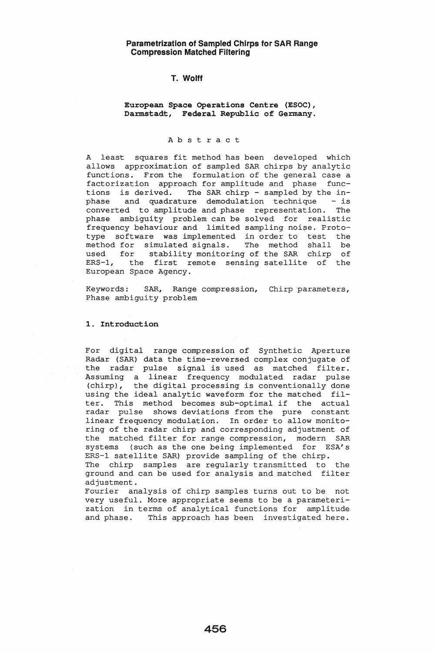## T. Wolff

European Space Operations Centre (ESOC), Darmstadt, Federal Republic of Germany.

# A b s t r act

A least squares fit method has been developed which allows approximation of sampled SAR chirps by analytic functions. From the formulation of the general case a factorization approach for amplitude and phase functions is derived. The SAR chirp - sampled by the inphase and quadrature demodulation technique - is converted to amplitude and phase representation. The phase ambiguity problem can be solved for realistic frequency behaviour and limited sampling noise. Prototype software was implemented in order to test the method for simulated signals. The method shall be used for stability monitoring of the SAR chirp of ERS-1, the first remote sensing satellite of the European Space Agency.

Keywords: SAR, Range compression, Chirp parameters, Phase ambiguity problem

### **1.** Introduction

For digital range compression of Synthetic Aperture Radar (SAR) data the time-reversed complex conjugate of the radar pulse signal is used as matched filter. Assuming a linear frequency modulated radar pulse (chirp), the digital processing is conventionally done using the ideal analytic waveform for the matched filter. This method becomes sub-optimal if the actual radar pulse shows deviations from the pure constant linear frequency modulation. In order to allow monitoring of the radar chirp and corresponding adjustment of the matched filter for range compression, modern SAR systems (such as the one being implemented for ESA's ERS-l satellite SAR) provide sampling of the chirp.

The chirp samples are regularly transmitted to the ground and can be used for analysis and matched filter adjustment.

Fourier analysis of chirp samples turns out to be not very useful. More appropriate seems to be a parameterization in terms of analytical functions for amplitude and phase. This approach has been investigated here.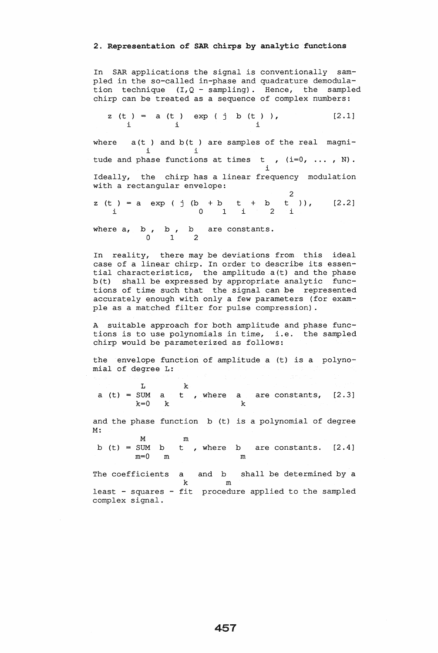# 2. Representation of SAR chirps by analytic functions

In SAR applications the signal is conventionally sampled in the so-called in-phase and quadrature demodulation technique  $(I, Q - sampling)$ . Hence, the sampled chirp can be treated as a sequence of complex numbers:

z (t ) i a (t ) exp ( j b (t ) ), [2.1] i i where  $a(t)$  and  $b(t)$  are samples of the real magnii i tude and phase functions at times t ,  $(i=0, ..., N)$ . i Ideally, the chirp has a linear frequency modulation with a rectangular envelope: 2 z (t ) = a exp ( j (b + b t + b t )), [2.2] i 0 1 i 2 i

where  $a$ ,  $b$ ,  $b$ ,  $b$  are constants. 0 1 2

In reality, there may be deviations from this ideal case of a linear chirp. In order to describe its essential characteristics, the amplitude a(t) and the phase b(t) shall be expressed by appropriate analytic functions of time such that the signal can be represented accurately enough with only a few parameters (for example as a matched filter for pulse compression) .

A suitable approach for both amplitude and phase functions is to use polynomials in time, i.e. the sampled chirp would be parameterized as follows:

the envelope function of amplitude a (t) is a polynomial of degree L:

L k a (t) =  $\frac{L}{k=0}$  k, where  $k=0$  k a are constants, k [2.3]

and the phase function b (t) is a polynomial of degree M:

M m b (t) = SUM b t , where b are constants.  $[2.4]$ m=O m m

The coefficients a k least - squares - fit procedure applied to the sampled complex signal. and b shall be determined by a m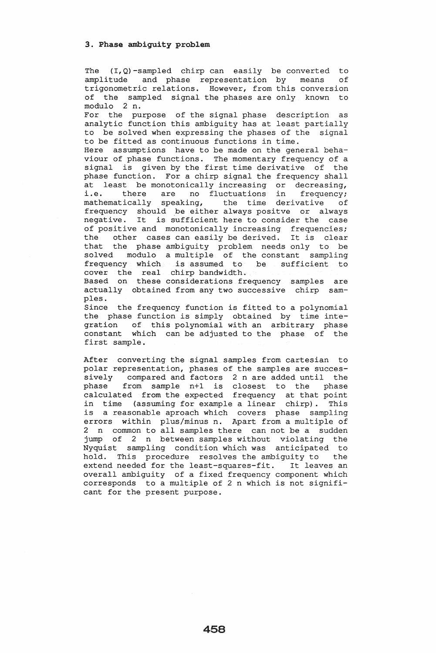The  $(I, Q)$ -sampled chirp can easily be converted to amplitude and phase representation by means of trigonometric relations. However, from this conversion of the sampled signal the phases are only known to modulo 2 n.

For the purpose of the signal phase description as analytic function this ambiguity has at least partially to be solved when expressing the phases of the signal to be fitted as continuous functions in time.

Here assumptions have to be made on the general behaviour of phase functions. The momentary frequency of a signal is given by the first time derivative of the phase function. For a chirp signal the frequency shall at least be monotonically increasing or decreasing, i.e. there are no fluctuations in frequency; mathematically speaking, the time derivative of frequency should be either always positve or always negative. It is sufficient here to consider the case of positive and monotonically increasing frequencies; the other cases can easily be derived. It is clear that the phase ambiguity problem needs only to be solved modulo a multiple of the constant sampling frequency which is assumed to be sufficient to cover the real chirp bandwidth. Based on these considerations frequency samples are

actually obtained from any two successive chirp samples.

Since the frequency function is fitted to a polynomial the phase function is simply obtained by time integration of this polynomial with an arbitrary phase constant which can be adjusted to the phase of the first sample.

After converting the signal samples from cartesian to polar representation, phases of the samples are successively compared and factors 2 n are added until the phase from sample n+l is closest to the phase .<br>calculated from the expected frequency at that point in time (assuming for example a linear chirp). This is a reasonable aproach which covers phase sampling errors within plus/minus n. Apart from a multiple of 2 n common to all samples there can not be a sudden jump of 2 n between samples without violating the Nyquist sampling condition which was anticipated to hold. This procedure resolves the ambiguity to the extend needed for the least-squares-fit. It leaves an overall ambiguity of a fixed frequency component which corresponds to a multiple of 2 n which is not significant for the present purpose.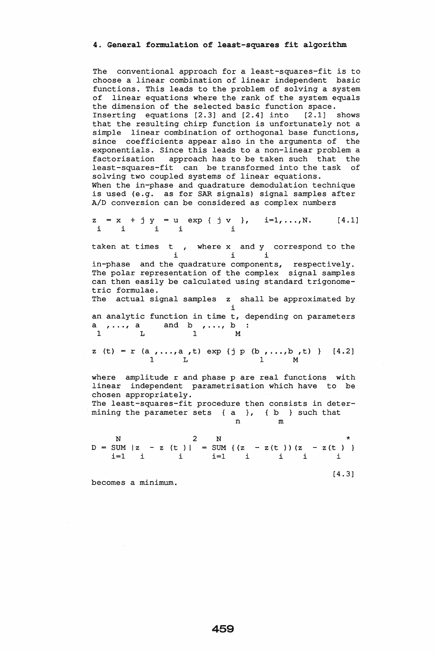#### 4. General formulation of least-squares fit algorithm

The conventional approach for a least-squares-fit is to choose a linear combination of linear independent basic functions. This leads to the problem of solving a system of linear equations where the rank of the system equals the dimension of the selected basic function space. Inserting equations [2.3] and [2.4] into [2.1] shows that the resulting chirp function is unfortunately not a simple linear combination of orthogonal base functions, since coefficients appear also in the arguments of the exponentials. Since this leads to a non-linear problem a factorisation approach has to be taken such that the least-squares-fit can be transformed into the task of solving two coupled systems of linear equations. When the in-phase and quadrature demodulation technique is used (e.g. as for SAR signals) signal samples after *AID* conversion can be considered as complex numbers Calculation of the denoted and quadrature demodulation<br>
for SAR signals signal same be considered as complex<br>
u exp { j v }, i=1,...,<br>
i i<br>
i i i<br>
quadrature components, re<br>
ntation of the complex signals

z i x + j y i i u exp {  $j \, v$  },  $i=1,...,N$ . [4.1] i i

taken at times t , where x and y correspond to the<br>i i i

in-phase and the quadrature components, respectively. The polar representation of the complex signal samples can then easily be calculated using standard trigonometric formulae.

The actual signal samples z shall be approximated by i an analytic function in time t, depending on parameters

an analytic function in time t<br>a  $, \ldots$ , a and b  $, \ldots$ , b 1 L 1 M

z (t) = r (a , . . , a , t) exp {j p (b , . . , b , t) } [4.2] 1 L 1 M

where amplitude r and phase p are real functions with linear independent parametrisation which have to be chosen appropriately. The least-squares-fit procedure then consists in deter-

mining the parameter sets {a }, {b } such that n m

N  $D = SUM | z$ i=l <sup>i</sup> 2  $- z$  (t) | i N SUM {(z i=l \*<br>|- z(t ))(z - z(t ) i i i i

[4.3]

becomes a minimum.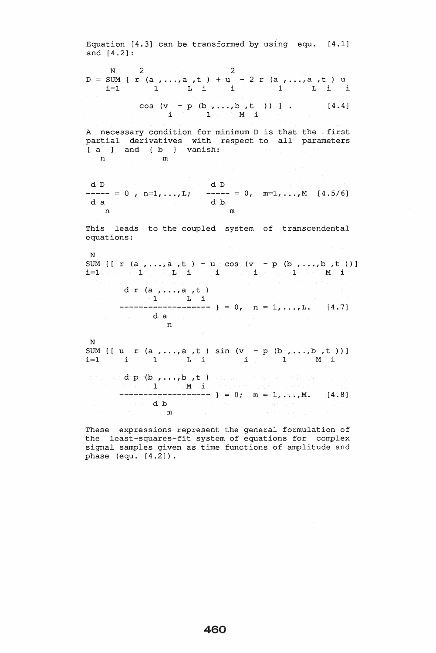Equation [4.3] can be transformed by using equ. [4.1] and [4.2]:  $N = 2$  2<br>D = SUM { r (a , . . , a , t ) + u - 2 r (a , . . , a , t ) u  $i=1$  and  $i=1$  in  $i=1$  in  $i=1$  in  $i=1$  in  $i=1$  $\cos$  (v - p (b , ..., b , t )) } . [4.4]  $i$  1 M i A necessary condition for minimum D is that the first partial derivatives with respect to all parameters {  $a$  } and {b} } vanish:  $n \geq 1$ d D d D 0, n=1, ..., L;  $--- - = 0$ , m=1, ..., M [4.5/6] d a d  $\alpha$  d  $\alpha$ n m In<br>
This leads to the coupled system of transcendenta<br>
equations:<br>
N<br>
SUM {[:r (a , ...,a ,t ) - u cos (v - p (b , ...,b ,t<br>
i=l = 1 iiiii i i l M i<br>
d r (a , ...,a ,t ) This leads to the coupled system of transcendental equations: N  $\texttt{SUM} \left\{ \left[ \left\langle \mathbf{r}_\circ \left( \mathbf{a}_\circ, \ldots, \mathbf{a}_\circ, \mathbf{t}_\circ \right) \right\rangle \right] = \left\langle \mathbf{u}_\circ \cos \left( \mathbf{v}_\circ \right) - \mathbf{p}_\circ \left( \mathbf{b}_\circ, \ldots, \mathbf{b}_\circ \left( \mathbf{t}_\circ \right) \right) \right. \right\}$ d  $r$  (a  $, \ldots, a$   $, t$ ) 1 L i<br>------------ } = 0, n = 1, ..., L. [4.7] d a n N  $\sum_{i=1}^{N}$  SUM {[ u r (a , ..., a , t ) sin (v - p (b , ... , b , t ))]  $i=1$  i 1 L i i 1 M i d P (b , ... , b , t ) 1 M i  $------$  } = 0; m = 1, ..., M. [4.8] --------db<sup>o</sup> m

These expressions represent the general formulation of the least-squares-fit system of equations for complex signal samples given as time functions of amplitude and phase (equ. [4.2]).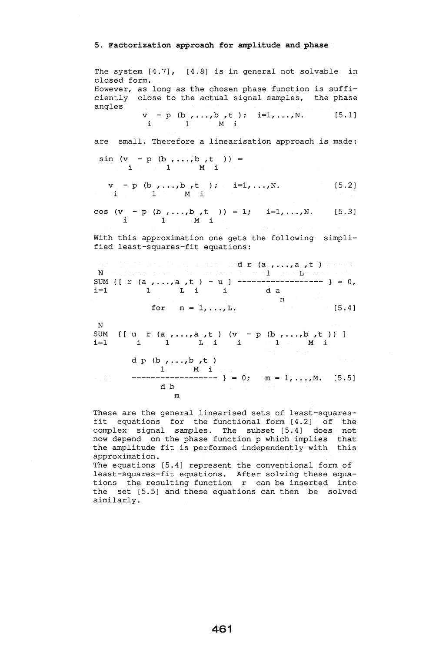#### 5. Factorization approach for amplitude and phase

The system [4.7], [4.8] is in general not solvable in closed form. However, as long as the chosen phase function is sufficiently close to the actual signal samples, the phase angles  $v - p$  (b, ..., b, t); i=1, ..., N. [5.1] i 1 M i are small. Therefore a linearisation approach is made:  $\sin (v - p (b, ..., b, t)) =$ <br>
i 1 M i  $v - p$  (b,...,b,t); i=1,...,N. [5.2] i 1 M i cos (v - p (b , ...,b ,t )) = 1; i=1, ...,N. [5.3] i 1 M i With this approximation one gets the following simplified least-squares-fit equations:  $\mathtt{d.r.}(\mathtt{a.},...,\mathtt{a.},t.)$  $\mathbf{N}$  1 in the state of the state of the state  $\mathbf{N}$  in the state  $\mathbf{E}$  : SUM {[ r (a, ..., a, t ) - u ] ----------------------- } = 0, i=l 1 L i ida N SUM<br>i=1 n for  $n = 1, \ldots, L$ . {[ u r (a , ... ,a ,t ) for  $n = 1, ...$ <br>  $r (a_1, ..., a_r t)$ <br>  $i \t 1 \t 1 \t i$ <sup>d</sup><sup>p</sup>(b , ... ,b ,t 1 M i 0; m 1, ... ,M. [S. S] db m  $(v - p (b, \ldots, b, t))$ i 1 M i [S. 4]

These are the general linearised sets of least-squaresfit equations for the functional form [4.2] of the complex signal samples. The subset [5.4] does not now depend on the phase function p which implies that the amplitude fit is performed independently with this approximation.

The equations [S.4] represent the conventional form of least-squares-fit equations. After solving these equations the resulting function r can be inserted into the set [S.S] and these equations can then be solved similarly.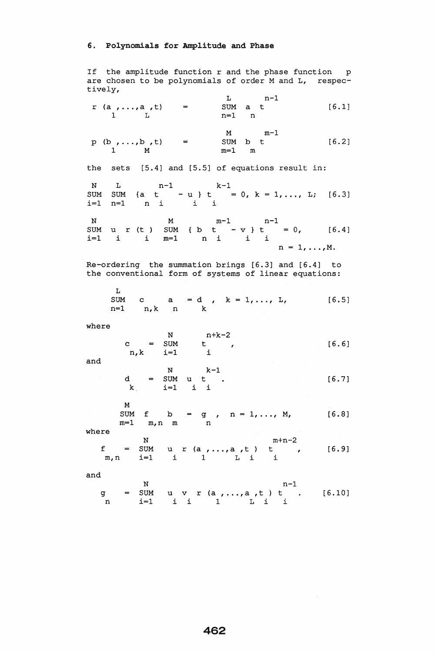## 6. Polynomials for Amplitude and Phase

If the amplitude function r and the phase function p are chosen to be polynomials of order M and L, respectively,  $L$   $n-1$ 

 $r (a_1, ..., a_r, t) = \text{SUM } a_t$  t [6.1]  $1 \t L \t n=1 \t n$ M m-1<br>SUM b t p (b,...,b,t) =  $\frac{m}{2}$  SUM b t [6.2] 1 M m=1 m the sets [5.4] and [5.5] of equations result in: N L  $n-1$  k-1<br>
SUM SUM {a t - u } t = 0, k = 1, ..., L; [6.3] *i=l* n=l n i i i N M m-1 n-1 SUM u r (t ) SUM { b t - v } t = 0, [6.4] *i=l* i i m=l n i i i  $n = 1, \ldots, M$ . Re-ordering the summation brings [6.3] and [6.4] to the conventional form of systems of linear equations:  $L$ SUM c a = d , k = 1, ..., L, [6.5] n=l n,k n k where  $N$   $n+k-2$  $c = SUM$  t , [6.6] n,k *i=l* i and N  $k-1$  $d = SUM \, u \, t \, t \, . \qquad (6.7)$ <sup>k</sup>*i=l* i i M SUM  $f$  b = g , n = 1, ..., M, [6.8] m=l m,n m n where  $N$  m+n-2<br>  $f = SUM$  u r (a,...,a,t) t , [6.9] m,n *i=l* i 1 L i i and N<br>g = SUM u v r (a , . . , a , t ) t . [6.10] n *i=l* i i 1 L i i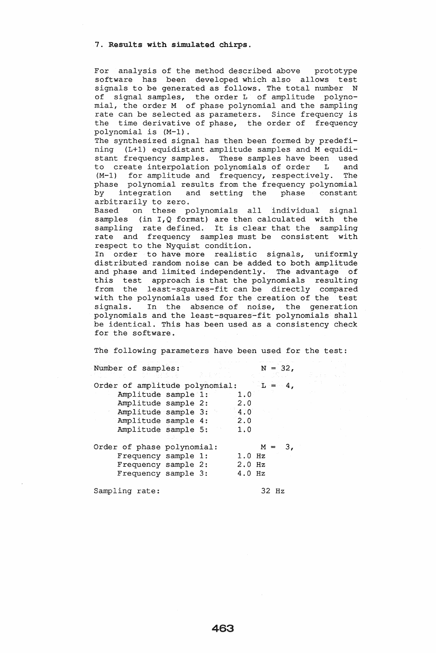7. Results with simulated chirps.

For analysis of the method described above prototype software has been developed which also allows test<br>signals to be generated as follows. The total number N signals to be generated as follows. The total number of signal samples, the order L of amplitude polynomial, the order M of phase polynomial and the sampling rate can be selected as parameters. Since frequency is the time derivative of phase, the order of frequency polynomial is (M-1).

The synthesized signal has then been formed by predefining (L+1) equidistant amplitude samples and M equidistant frequency samples. These samples have been used to create interpolation polynomials of order L and (M-1) for amplitude and frequency, respectively. The phase polynomial results from the frequency polynomial<br>by integration and setting the phase constant and setting the phase arbitrarily to zero.

Based on these polynomials all individual signal samples (in  $I, Q$  format) are then calculated with the sampling rate defined. It is clear that the sampling rate and frequency samples must be consistent with respect to the Nyquist condition.

In order to have more realistic signals, uniformly distributed random noise can be added to both amplitude and phase and limited independently. The advantage of this test approach is that the polynomials resulting from the least-squares-fit can be directly compared with the polynomials used for the creation of the test signals. In the absence of noise, the generation polynomials and the least-squares-fit polynomials shall be identical. This has been used as a consistency check for the software.

The following parameters have been used for the test:

| Number of samples:<br>「生活的変」を  |  |          | $N = 32$ ,  |
|--------------------------------|--|----------|-------------|
| Order of amplitude polynomial: |  |          | $-L = 4$ .  |
| Amplitude sample 1:            |  | 1.0      |             |
| Amplitude sample 2:            |  | 2.0      |             |
| Amplitude sample 3:            |  | $4:0^-$  |             |
| Amplitude sample 4:            |  | 2:0      |             |
| Amplitude sample 5:            |  | 1.0      |             |
|                                |  |          |             |
| Order of phase polynomial:     |  |          | $M =$<br>З, |
| Frequency sample 1:            |  | $1.0$ Hz |             |
| Frequency sample 2:            |  | $2.0$ Hz |             |
| Frequency sample 3:            |  | $4.0$ Hz |             |
| Sampling rate:                 |  |          | 32 Hz       |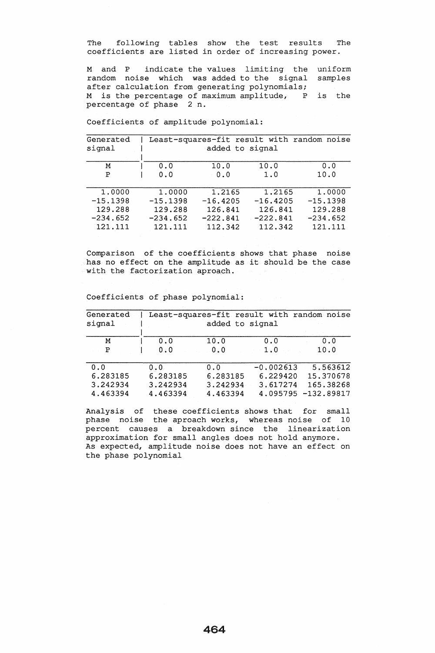The following tables show the test results The coefficients are listed in order of increasing power.

M and P indicate the values limiting the uniform random noise which was added to the signal samples after calculation from generating polynomials; M is the percentage of maximum amplitude, P percentage of phase 2 n. is the

| Generated<br>signal | Least-squares-fit result with random noise<br>added to signal |            |            |            |  |  |  |
|---------------------|---------------------------------------------------------------|------------|------------|------------|--|--|--|
| Μ                   | 0.0                                                           | 10.0       | 10.0       | 0.0        |  |  |  |
| Ρ                   | 0.0                                                           | 0.0        | 1.0        | 10.0       |  |  |  |
| 1,0000              | 1,0000                                                        | 1.2165     | 1.2165     | 1,0000     |  |  |  |
| $-15.1398$          | $-15.1398$                                                    | $-16.4205$ | $-16.4205$ | $-15.1398$ |  |  |  |
| 129.288             | 129.288                                                       | 126.841    | 126.841    | 129.288    |  |  |  |
| $-234.652$          | $-234.652$                                                    | $-222.841$ | $-222.841$ | $-234.652$ |  |  |  |
| 121.111             | 121.111                                                       | 112.342    | 112.342    | 121.111    |  |  |  |

Coefficients of amplitude polynomial:

Comparison of the coefficients shows that phase noise has no effect on the amplitude as it should be the case with the factorization aproach.

Coefficients of phase polynomial:

| Generated<br>signal |          | Least-squares-fit result with random noise<br>added to signal |             |              |  |  |  |
|---------------------|----------|---------------------------------------------------------------|-------------|--------------|--|--|--|
| M                   | 0.0      | 10.0                                                          | 0.0         | 0.0          |  |  |  |
| Ρ                   | 0.0      | 0.0                                                           | 1.0         | 10.0         |  |  |  |
| 0.0                 | 0.0      | 0.0                                                           | $-0.002613$ | 5.563612     |  |  |  |
| 6.283185            | 6.283185 | 6.283185                                                      | 6.229420    | 15.370678    |  |  |  |
| 3.242934            | 3.242934 | 3.242934                                                      | 3.617274    | 165.38268    |  |  |  |
| 4.463394            | 4.463394 | 4.463394                                                      | 4.095795    | $-132.89817$ |  |  |  |

Analysis of these coefficients shows that for small phase noise the aproach works, whereas noise of 10 percent causes a breakdown since the linearization approximation for small angles does not hold anymore. As expected, amplitude noise does not have an effect on the phase polynomial